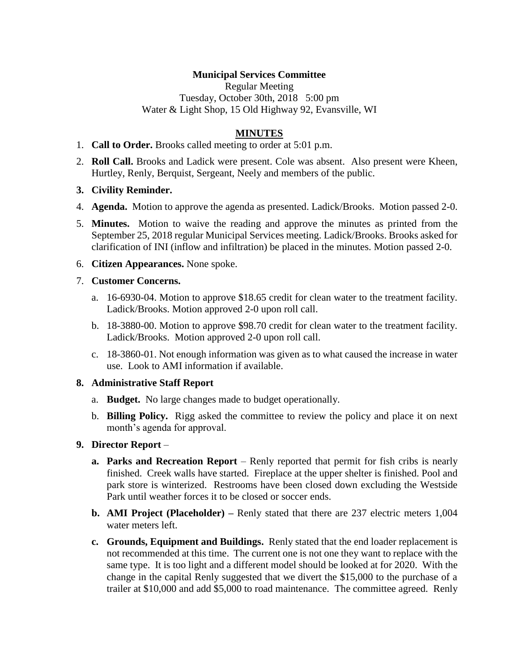## **Municipal Services Committee**

Regular Meeting Tuesday, October 30th, 2018 5:00 pm Water & Light Shop, 15 Old Highway 92, Evansville, WI

### **MINUTES**

- 1. **Call to Order.** Brooks called meeting to order at 5:01 p.m.
- 2. **Roll Call.** Brooks and Ladick were present. Cole was absent. Also present were Kheen, Hurtley, Renly, Berquist, Sergeant, Neely and members of the public.
- **3. Civility Reminder.**
- 4. **Agenda.** Motion to approve the agenda as presented. Ladick/Brooks. Motion passed 2-0.
- 5. **Minutes.** Motion to waive the reading and approve the minutes as printed from the September 25, 2018 regular Municipal Services meeting. Ladick/Brooks. Brooks asked for clarification of INI (inflow and infiltration) be placed in the minutes. Motion passed 2-0.
- 6. **Citizen Appearances.** None spoke.

#### 7. **Customer Concerns.**

- a. 16-6930-04. Motion to approve \$18.65 credit for clean water to the treatment facility. Ladick/Brooks. Motion approved 2-0 upon roll call.
- b. 18-3880-00. Motion to approve \$98.70 credit for clean water to the treatment facility. Ladick/Brooks. Motion approved 2-0 upon roll call.
- c. 18-3860-01. Not enough information was given as to what caused the increase in water use. Look to AMI information if available.

#### **8. Administrative Staff Report**

- a. **Budget.** No large changes made to budget operationally.
- b. **Billing Policy.** Rigg asked the committee to review the policy and place it on next month's agenda for approval.

#### **9. Director Report** –

- **a. Parks and Recreation Report** Renly reported that permit for fish cribs is nearly finished. Creek walls have started. Fireplace at the upper shelter is finished. Pool and park store is winterized. Restrooms have been closed down excluding the Westside Park until weather forces it to be closed or soccer ends.
- **b. AMI Project (Placeholder) –** Renly stated that there are 237 electric meters 1,004 water meters left.
- **c. Grounds, Equipment and Buildings.** Renly stated that the end loader replacement is not recommended at this time. The current one is not one they want to replace with the same type. It is too light and a different model should be looked at for 2020. With the change in the capital Renly suggested that we divert the \$15,000 to the purchase of a trailer at \$10,000 and add \$5,000 to road maintenance. The committee agreed. Renly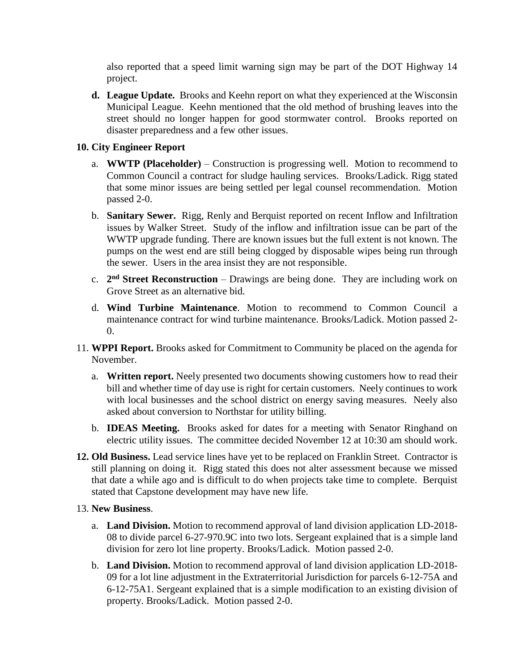also reported that a speed limit warning sign may be part of the DOT Highway 14 project.

**d. League Update.** Brooks and Keehn report on what they experienced at the Wisconsin Municipal League. Keehn mentioned that the old method of brushing leaves into the street should no longer happen for good stormwater control. Brooks reported on disaster preparedness and a few other issues.

# **10. City Engineer Report**

- a. **WWTP (Placeholder)** Construction is progressing well. Motion to recommend to Common Council a contract for sludge hauling services. Brooks/Ladick. Rigg stated that some minor issues are being settled per legal counsel recommendation. Motion passed 2-0.
- b. **Sanitary Sewer.** Rigg, Renly and Berquist reported on recent Inflow and Infiltration issues by Walker Street. Study of the inflow and infiltration issue can be part of the WWTP upgrade funding. There are known issues but the full extent is not known. The pumps on the west end are still being clogged by disposable wipes being run through the sewer. Users in the area insist they are not responsible.
- c. **2 nd Street Reconstruction** Drawings are being done. They are including work on Grove Street as an alternative bid.
- d. **Wind Turbine Maintenance**. Motion to recommend to Common Council a maintenance contract for wind turbine maintenance. Brooks/Ladick. Motion passed 2- 0.
- 11. **WPPI Report.** Brooks asked for Commitment to Community be placed on the agenda for November.
	- a. **Written report.** Neely presented two documents showing customers how to read their bill and whether time of day use is right for certain customers. Neely continues to work with local businesses and the school district on energy saving measures. Neely also asked about conversion to Northstar for utility billing.
	- b. **IDEAS Meeting.** Brooks asked for dates for a meeting with Senator Ringhand on electric utility issues. The committee decided November 12 at 10:30 am should work.
- **12. Old Business.** Lead service lines have yet to be replaced on Franklin Street. Contractor is still planning on doing it. Rigg stated this does not alter assessment because we missed that date a while ago and is difficult to do when projects take time to complete. Berquist stated that Capstone development may have new life.

#### 13. **New Business**.

- a. **Land Division.** Motion to recommend approval of land division application LD-2018- 08 to divide parcel 6-27-970.9C into two lots. Sergeant explained that is a simple land division for zero lot line property. Brooks/Ladick. Motion passed 2-0.
- b. **Land Division.** Motion to recommend approval of land division application LD-2018- 09 for a lot line adjustment in the Extraterritorial Jurisdiction for parcels 6-12-75A and 6-12-75A1. Sergeant explained that is a simple modification to an existing division of property. Brooks/Ladick. Motion passed 2-0.